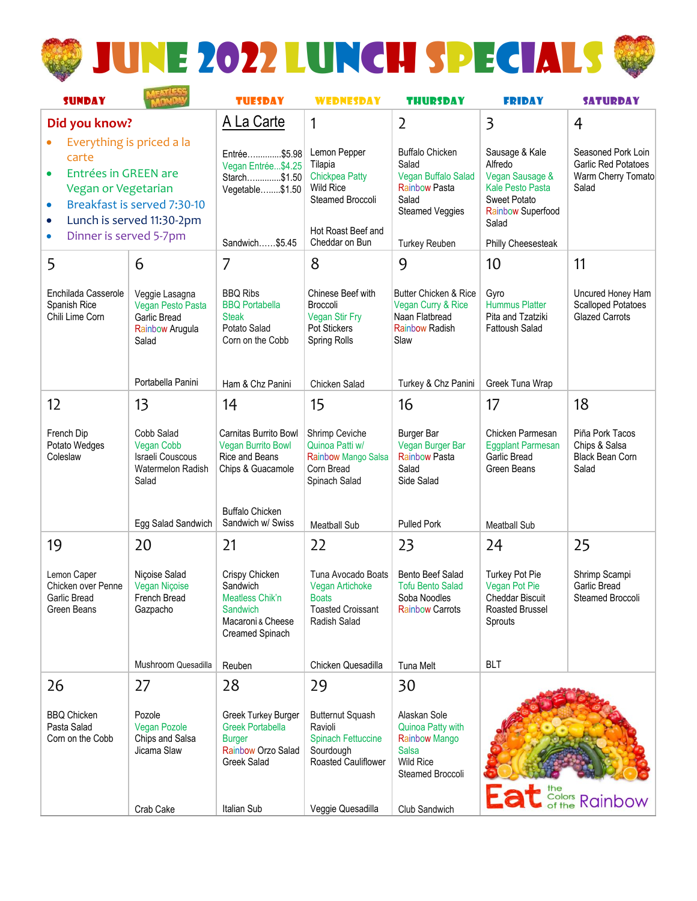

| <b>SUNDAY</b>                                                                                                                                                                                                  |                                                                                 | <b>TUESDAY</b>                                                                                       | <b>WEDNESDAY</b>                                                                                                                 | <b>THURSDAY</b>                                                                                                                           | <b>FRIDAY</b>                                                                                                                                      | <b>SATURDAY</b>                                                          |
|----------------------------------------------------------------------------------------------------------------------------------------------------------------------------------------------------------------|---------------------------------------------------------------------------------|------------------------------------------------------------------------------------------------------|----------------------------------------------------------------------------------------------------------------------------------|-------------------------------------------------------------------------------------------------------------------------------------------|----------------------------------------------------------------------------------------------------------------------------------------------------|--------------------------------------------------------------------------|
| Did you know?                                                                                                                                                                                                  |                                                                                 | A La Carte                                                                                           | 1                                                                                                                                | $\overline{2}$                                                                                                                            | 3                                                                                                                                                  | 4                                                                        |
| Everything is priced a la<br>carte<br>Entrées in GREEN are<br>Vegan or Vegetarian<br>Breakfast is served 7:30-10<br>$\bullet$<br>Lunch is served 11:30-2pm<br>$\bullet$<br>Dinner is served 5-7pm<br>$\bullet$ |                                                                                 | Entrée\$5.98<br>Vegan Entrée\$4.25<br>Starch\$1.50<br>Vegetable\$1.50<br>Sandwich\$5.45              | Lemon Pepper<br>Tilapia<br><b>Chickpea Patty</b><br><b>Wild Rice</b><br>Steamed Broccoli<br>Hot Roast Beef and<br>Cheddar on Bun | <b>Buffalo Chicken</b><br>Salad<br>Vegan Buffalo Salad<br><b>Rainbow Pasta</b><br>Salad<br><b>Steamed Veggies</b><br><b>Turkey Reuben</b> | Sausage & Kale<br>Alfredo<br>Vegan Sausage &<br><b>Kale Pesto Pasta</b><br>Sweet Potato<br><b>Rainbow Superfood</b><br>Salad<br>Philly Cheesesteak | Seasoned Pork Loin<br>Garlic Red Potatoes<br>Warm Cherry Tomato<br>Salad |
| 5                                                                                                                                                                                                              | 6                                                                               | 7                                                                                                    | 8                                                                                                                                | 9                                                                                                                                         | 10                                                                                                                                                 | 11                                                                       |
| Enchilada Casserole<br>Spanish Rice<br>Chili Lime Corn                                                                                                                                                         | Veggie Lasagna<br>Vegan Pesto Pasta<br>Garlic Bread<br>Rainbow Arugula<br>Salad | <b>BBQ Ribs</b><br><b>BBQ Portabella</b><br><b>Steak</b><br>Potato Salad<br>Corn on the Cobb         | Chinese Beef with<br><b>Broccoli</b><br><b>Vegan Stir Fry</b><br><b>Pot Stickers</b><br>Spring Rolls                             | <b>Butter Chicken &amp; Rice</b><br>Vegan Curry & Rice<br>Naan Flatbread<br><b>Rainbow Radish</b><br>Slaw                                 | Gyro<br><b>Hummus Platter</b><br>Pita and Tzatziki<br><b>Fattoush Salad</b>                                                                        | Uncured Honey Ham<br><b>Scalloped Potatoes</b><br><b>Glazed Carrots</b>  |
|                                                                                                                                                                                                                | Portabella Panini                                                               | Ham & Chz Panini                                                                                     | Chicken Salad                                                                                                                    | Turkey & Chz Panini                                                                                                                       | Greek Tuna Wrap                                                                                                                                    |                                                                          |
| 12                                                                                                                                                                                                             | 13                                                                              | 14                                                                                                   | 15                                                                                                                               | 16                                                                                                                                        | 17                                                                                                                                                 | 18                                                                       |
| French Dip<br>Potato Wedges<br>Coleslaw                                                                                                                                                                        | Cobb Salad<br>Vegan Cobb<br>Israeli Couscous<br>Watermelon Radish<br>Salad      | Carnitas Burrito Bowl<br><b>Vegan Burrito Bowl</b><br>Rice and Beans<br>Chips & Guacamole            | Shrimp Ceviche<br>Quinoa Patti w/<br>Rainbow Mango Salsa<br>Corn Bread<br>Spinach Salad                                          | <b>Burger Bar</b><br>Vegan Burger Bar<br><b>Rainbow Pasta</b><br>Salad<br>Side Salad                                                      | Chicken Parmesan<br><b>Eggplant Parmesan</b><br>Garlic Bread<br>Green Beans                                                                        | Piña Pork Tacos<br>Chips & Salsa<br>Black Bean Corn<br>Salad             |
|                                                                                                                                                                                                                | Egg Salad Sandwich                                                              | <b>Buffalo Chicken</b><br>Sandwich w/ Swiss                                                          | <b>Meatball Sub</b>                                                                                                              | <b>Pulled Pork</b>                                                                                                                        | <b>Meatball Sub</b>                                                                                                                                |                                                                          |
| 19                                                                                                                                                                                                             | 20                                                                              | 21                                                                                                   | 22                                                                                                                               | 23                                                                                                                                        | 24                                                                                                                                                 | 25                                                                       |
| Lemon Caper<br>Chicken over Penne<br>Garlic Bread<br>Green Beans                                                                                                                                               | Niçoise Salad<br>Vegan Niçoise<br>French Bread<br>Gazpacho                      | Crispy Chicken<br>Sandwich<br>Meatless Chik'n<br>Sandwich<br>Macaroni & Cheese<br>Creamed Spinach    | Tuna Avocado Boats<br><b>Vegan Artichoke</b><br><b>Boats</b><br><b>Toasted Croissant</b><br><b>Radish Salad</b>                  | Bento Beef Salad<br><b>Tofu Bento Salad</b><br>Soba Noodles<br><b>Rainbow Carrots</b>                                                     | <b>Turkey Pot Pie</b><br>Vegan Pot Pie<br><b>Cheddar Biscuit</b><br>Roasted Brussel<br>Sprouts                                                     | Shrimp Scampi<br>Garlic Bread<br>Steamed Broccoli                        |
|                                                                                                                                                                                                                | Mushroom Quesadilla                                                             | Reuben                                                                                               | Chicken Quesadilla                                                                                                               | <b>Tuna Melt</b>                                                                                                                          | <b>BLT</b>                                                                                                                                         |                                                                          |
| 26                                                                                                                                                                                                             | 27                                                                              | 28                                                                                                   | 29                                                                                                                               | 30                                                                                                                                        |                                                                                                                                                    |                                                                          |
| <b>BBQ Chicken</b><br>Pasta Salad<br>Corn on the Cobb                                                                                                                                                          | Pozole<br><b>Vegan Pozole</b><br>Chips and Salsa<br>Jicama Slaw                 | Greek Turkey Burger<br><b>Greek Portabella</b><br><b>Burger</b><br>Rainbow Orzo Salad<br>Greek Salad | <b>Butternut Squash</b><br>Ravioli<br><b>Spinach Fettuccine</b><br>Sourdough<br>Roasted Cauliflower                              | Alaskan Sole<br>Quinoa Patty with<br><b>Rainbow Mango</b><br><b>Salsa</b><br><b>Wild Rice</b><br>Steamed Broccoli                         |                                                                                                                                                    | <b>Eat</b> Solors Rainbow                                                |
|                                                                                                                                                                                                                | Crab Cake                                                                       | Italian Sub                                                                                          | Veggie Quesadilla                                                                                                                | Club Sandwich                                                                                                                             |                                                                                                                                                    |                                                                          |